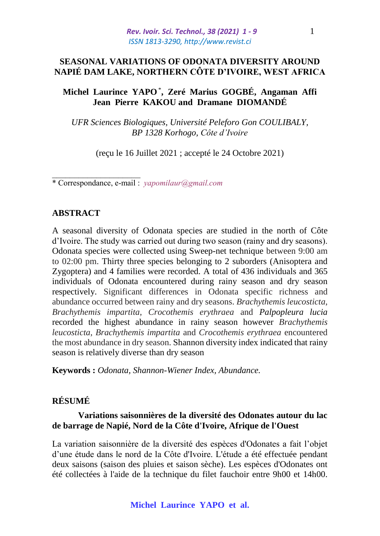## **SEASONAL VARIATIONS OF ODONATA DIVERSITY AROUND NAPIÉ DAM LAKE, NORTHERN CÔTE D'IVOIRE, WEST AFRICA**

# **Michel Laurince YAPO**\* **, Zeré Marius GOGBÉ, Angaman Affi Jean Pierre KAKOU and Dramane DIOMANDÉ**

*UFR Sciences Biologiques, Université Peleforo Gon COULIBALY, BP 1328 Korhogo, Côte d'Ivoire*

(reçu le 16 Juillet 2021 ; accepté le 24 Octobre 2021)

\* Correspondance, e-mail : *yapomilaur@gmail.com*

## **ABSTRACT**

 $\overline{\phantom{a}}$  , where  $\overline{\phantom{a}}$ 

A seasonal diversity of Odonata species are studied in the north of Côte d'Ivoire. The study was carried out during two season (rainy and dry seasons). Odonata species were collected using Sweep-net technique between 9:00 am to 02:00 pm. Thirty three species belonging to 2 suborders (Anisoptera and Zygoptera) and 4 families were recorded. A total of 436 individuals and 365 individuals of Odonata encountered during rainy season and dry season respectively. Significant differences in Odonata specific richness and abundance occurred between rainy and dry seasons. *Brachythemis leucosticta*, *Brachythemis impartita*, *Crocothemis erythraea* and *Palpopleura lucia*  recorded the highest abundance in rainy season however *Brachythemis leucosticta*, *Brachythemis impartita* and *Crocothemis erythraea* encountered the most abundance in dry season. Shannon diversity index indicated that rainy season is relatively diverse than dry season

**Keywords :** *Odonata, Shannon-Wiener Index, Abundance.*

# **RÉSUMÉ**

## **Variations saisonnières de la diversité des Odonates autour du lac de barrage de Napié, Nord de la Côte d'Ivoire, Afrique de l'Ouest**

La variation saisonnière de la diversité des espèces d'Odonates a fait l'objet d'une étude dans le nord de la Côte d'Ivoire. L'étude a été effectuée pendant deux saisons (saison des pluies et saison sèche). Les espèces d'Odonates ont été collectées à l'aide de la technique du filet fauchoir entre 9h00 et 14h00.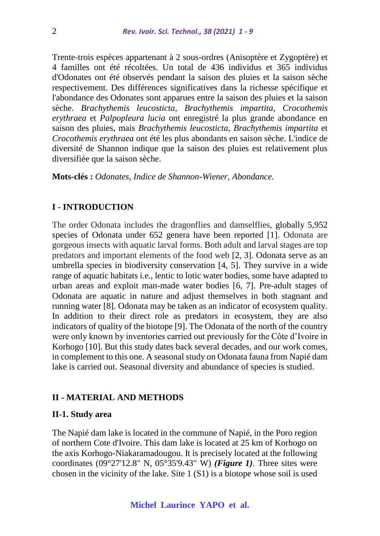Trente-trois espèces appartenant à 2 sous-ordres (Anisoptère et Zygoptère) et 4 familles ont été récoltées. Un total de 436 individus et 365 individus d'Odonates ont été observés pendant la saison des pluies et la saison sèche respectivement. Des différences significatives dans la richesse spécifique et l'abondance des Odonates sont apparues entre la saison des pluies et la saison sèche. *Brachythemis leucosticta*, *Brachythemis impartita*, *Crocothemis erythraea* et *Palpopleura lucia* ont enregistré la plus grande abondance en saison des pluies, mais *Brachythemis leucosticta*, *Brachythemis impartita* et *Crocothemis erythraea* ont été les plus abondants en saison sèche. L'indice de diversité de Shannon indique que la saison des pluies est relativement plus diversifiée que la saison sèche.

**Mots-clés :** *Odonates, Indice de Shannon-Wiener, Abondance.*

### **I - INTRODUCTION**

The order Odonata includes the dragonflies and damselflies, globally 5,952 species of Odonata under 652 genera have been reported [1]. Odonata are gorgeous insects with aquatic larval forms. Both adult and larval stages are top predators and important elements of the food web [2, 3]. Odonata serve as an umbrella species in biodiversity conservation [4, 5]. They survive in a wide range of aquatic habitats i.e., lentic to lotic water bodies, some have adapted to urban areas and exploit man-made water bodies [6, 7]. Pre-adult stages of Odonata are aquatic in nature and adjust themselves in both stagnant and running water [8]. Odonata may be taken as an indicator of ecosystem quality. In addition to their direct role as predators in ecosystem, they are also indicators of quality of the biotope [9]. The Odonata of the north of the country were only known by inventories carried out previously for the Côte d'Ivoire in Korhogo [10]. But this study dates back several decades, and our work comes, in complement to this one. A seasonal study on Odonata fauna from Napié dam lake is carried out. Seasonal diversity and abundance of species is studied.

## **II - MATERIAL AND METHODS**

### **II-1. Study area**

The Napié dam lake is located in the commune of Napié, in the Poro region of northern Cote d'Ivoire. This dam lake is located at 25 km of Korhogo on the axis Korhogo-Niakaramadougou. It is precisely located at the following coordinates (09°27'12.8" N, 05°35'9.43" W) *(Figure 1)*. Three sites were chosen in the vicinity of the lake. Site 1 (S1) is a biotope whose soil is used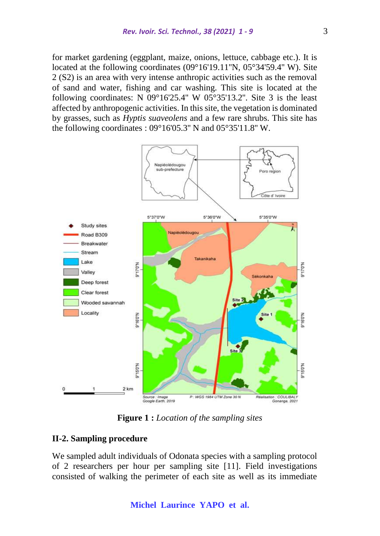for market gardening (eggplant, maize, onions, lettuce, cabbage etc.). It is located at the following coordinates (09°16'19.11"N, 05°34'59.4" W). Site 2 (S2) is an area with very intense anthropic activities such as the removal of sand and water, fishing and car washing. This site is located at the following coordinates: N  $09^{\circ}16'25.4''$  W  $05^{\circ}35'13.2''$ . Site 3 is the least affected by anthropogenic activities. In this site, the vegetation is dominated by grasses, such as *Hyptis suaveolens* and a few rare shrubs. This site has the following coordinates : 09°16'05.3'' N and 05°35'11.8'' W.



**Figure 1 :** *Location of the sampling sites*

## **II-2. Sampling procedure**

We sampled adult individuals of Odonata species with a sampling protocol of 2 researchers per hour per sampling site [11]. Field investigations consisted of walking the perimeter of each site as well as its immediate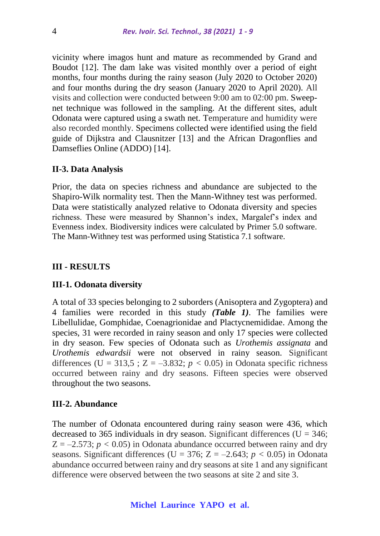vicinity where imagos hunt and mature as recommended by Grand and Boudot [12]. The dam lake was visited monthly over a period of eight months, four months during the rainy season (July 2020 to October 2020) and four months during the dry season (January 2020 to April 2020). All visits and collection were conducted between 9:00 am to 02:00 pm. Sweepnet technique was followed in the sampling. At the different sites, adult Odonata were captured using a swath net. Temperature and humidity were also recorded monthly. Specimens collected were identified using the field guide of Dijkstra and Clausnitzer [13] and the African Dragonflies and Damseflies Online (ADDO) [14].

#### **II-3. Data Analysis**

Prior, the data on species richness and abundance are subjected to the Shapiro-Wilk normality test. Then the Mann-Withney test was performed. Data were statistically analyzed relative to Odonata diversity and species richness. These were measured by Shannon's index, Margalef's index and Evenness index. Biodiversity indices were calculated by Primer 5.0 software. The Mann-Withney test was performed using Statistica 7.1 software.

### **III - RESULTS**

#### **III-1. Odonata diversity**

A total of 33 species belonging to 2 suborders (Anisoptera and Zygoptera) and 4 families were recorded in this study *(Table 1)*. The families were Libellulidae, Gomphidae, Coenagrionidae and Plactycnemididae. Among the species, 31 were recorded in rainy season and only 17 species were collected in dry season. Few species of Odonata such as *Urothemis assignata* and *Urothemis edwardsii* were not observed in rainy season. Significant differences (U = 313,5 ;  $Z = -3.832$ ;  $p < 0.05$ ) in Odonata specific richness occurred between rainy and dry seasons. Fifteen species were observed throughout the two seasons.

#### **III-2. Abundance**

The number of Odonata encountered during rainy season were 436, which decreased to 365 individuals in dry season. Significant differences ( $U = 346$ ;  $Z = -2.573$ ;  $p < 0.05$ ) in Odonata abundance occurred between rainy and dry seasons. Significant differences (U =  $376$ ; Z =  $-2.643$ ;  $p < 0.05$ ) in Odonata abundance occurred between rainy and dry seasons at site 1 and any significant difference were observed between the two seasons at site 2 and site 3.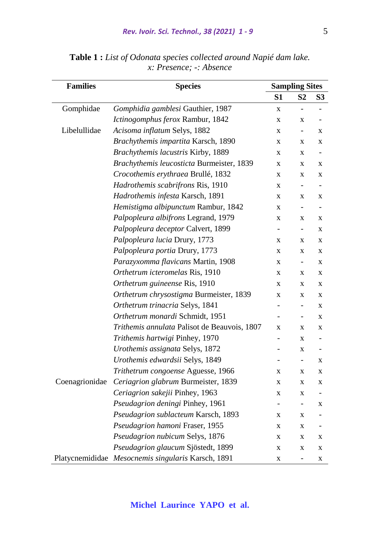| <b>Families</b> | <b>Species</b>                                     | <b>Sampling Sites</b>    |                          |                          |
|-----------------|----------------------------------------------------|--------------------------|--------------------------|--------------------------|
|                 |                                                    | S <sub>1</sub>           | S <sub>2</sub>           | S <sub>3</sub>           |
| Gomphidae       | Gomphidia gamblesi Gauthier, 1987                  | $\mathbf X$              | $\overline{a}$           |                          |
|                 | Ictinogomphus ferox Rambur, 1842                   | X                        | X                        |                          |
| Libelullidae    | Acisoma inflatum Selys, 1882                       | X                        | $\overline{\phantom{0}}$ | X                        |
|                 | Brachythemis impartita Karsch, 1890                | X                        | X                        | X                        |
|                 | Brachythemis lacustris Kirby, 1889                 | X                        | $\mathbf X$              | $\overline{\phantom{0}}$ |
|                 | Brachythemis leucosticta Burmeister, 1839          | X                        | X                        | X                        |
|                 | Crocothemis erythraea Brullé, 1832                 | X                        | X                        | X                        |
|                 | Hadrothemis scabrifrons Ris, 1910                  | $\mathbf X$              | ÷,                       |                          |
|                 | Hadrothemis infesta Karsch, 1891                   | X                        | X                        | X                        |
|                 | Hemistigma albipunctum Rambur, 1842                | $\mathbf X$              | $\overline{\phantom{0}}$ | $\overline{\phantom{a}}$ |
|                 | Palpopleura albifrons Legrand, 1979                | X                        | X                        | X                        |
|                 | Palpopleura deceptor Calvert, 1899                 | $\overline{\phantom{0}}$ | $\overline{a}$           | $\mathbf X$              |
|                 | Palpopleura lucia Drury, 1773                      | X                        | $\bf{X}$                 | X                        |
|                 | Palpopleura portia Drury, 1773                     | X                        | $\mathbf X$              | $\mathbf X$              |
|                 | Parazyxomma flavicans Martin, 1908                 | X                        | $\overline{\phantom{0}}$ | X                        |
|                 | Orthetrum icteromelas Ris, 1910                    | X                        | X                        | $\mathbf X$              |
|                 | Orthetrum guineense Ris, 1910                      | X                        | X                        | X                        |
|                 | Orthetrum chrysostigma Burmeister, 1839            | X                        | X                        | X                        |
|                 | Orthetrum trinacria Selys, 1841                    | $\overline{a}$           | ÷,                       | X                        |
|                 | Orthetrum monardi Schmidt, 1951                    |                          | $\overline{\phantom{0}}$ | $\mathbf X$              |
|                 | Trithemis annulata Palisot de Beauvois, 1807       | X                        | $\mathbf X$              | X                        |
|                 | Trithemis hartwigi Pinhey, 1970                    | $\overline{a}$           | X                        |                          |
|                 | Urothemis assignata Selys, 1872                    |                          | $\mathbf X$              | $\overline{\phantom{0}}$ |
|                 | Urothemis edwardsii Selys, 1849                    | $\overline{\phantom{0}}$ | $\overline{\phantom{0}}$ | X                        |
|                 | Trithetrum congoense Aguesse, 1966                 | X                        | $\mathbf X$              | X                        |
| Coenagrionidae  | Ceriagrion glabrum Burmeister, 1839                | X                        | X                        | X                        |
|                 | Ceriagrion sakejii Pinhey, 1963                    | X                        | $\mathbf X$              |                          |
|                 | Pseudagrion deningi Pinhey, 1961                   |                          | $\overline{\phantom{0}}$ | X                        |
|                 | Pseudagrion sublacteum Karsch, 1893                | X                        | $\mathbf X$              |                          |
|                 | Pseudagrion hamoni Fraser, 1955                    | X                        | X                        |                          |
|                 | Pseudagrion nubicum Selys, 1876                    | X                        | X                        | X                        |
|                 | Pseudagrion glaucum Sjöstedt, 1899                 | X                        | X                        | X                        |
|                 | Platycnemididae Mesocnemis singularis Karsch, 1891 | $\mathbf X$              | $\overline{\phantom{0}}$ | X                        |

**Table 1 :** *List of Odonata species collected around Napié dam lake. x: Presence; -: Absence*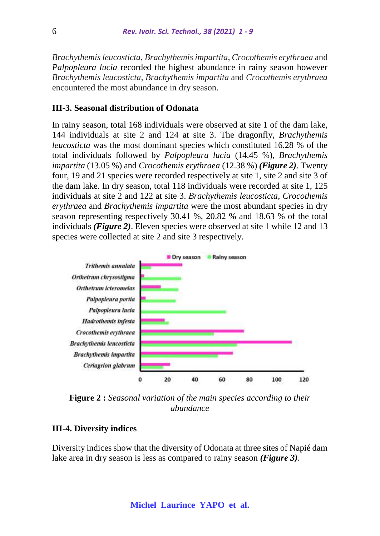*Brachythemis leucosticta*, *Brachythemis impartita*, *Crocothemis erythraea* and *Palpopleura lucia* recorded the highest abundance in rainy season however *Brachythemis leucosticta*, *Brachythemis impartita* and *Crocothemis erythraea* encountered the most abundance in dry season.

## **III-3. Seasonal distribution of Odonata**

In rainy season, total 168 individuals were observed at site 1 of the dam lake, 144 individuals at site 2 and 124 at site 3. The dragonfly, *Brachythemis leucosticta* was the most dominant species which constituted 16.28 % of the total individuals followed by *Palpopleura lucia* (14.45 %), *Brachythemis impartita* (13.05 %) and *Crocothemis erythraea* (12.38 %) *(Figure 2)*. Twenty four, 19 and 21 species were recorded respectively at site 1, site 2 and site 3 of the dam lake. In dry season, total 118 individuals were recorded at site 1, 125 individuals at site 2 and 122 at site 3. *Brachythemis leucosticta*, *Crocothemis erythraea* and *Brachythemis impartita* were the most abundant species in dry season representing respectively 30.41 %, 20.82 % and 18.63 % of the total individuals *(Figure 2)*. Eleven species were observed at site 1 while 12 and 13 species were collected at site 2 and site 3 respectively.



**Figure 2 :** *Seasonal variation of the main species according to their abundance*

#### **III-4. Diversity indices**

Diversity indices show that the diversity of Odonata at three sites of Napié dam lake area in dry season is less as compared to rainy season *(Figure 3)*.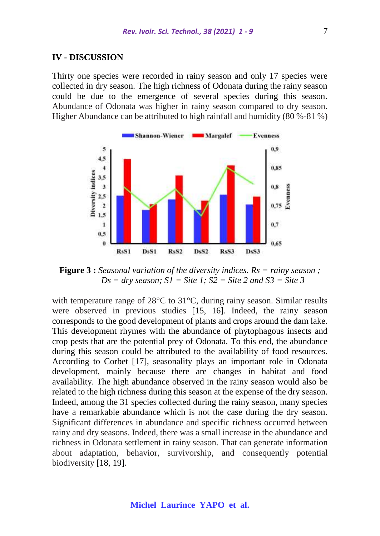#### **IV - DISCUSSION**

Thirty one species were recorded in rainy season and only 17 species were collected in dry season. The high richness of Odonata during the rainy season could be due to the emergence of several species during this season. Abundance of Odonata was higher in rainy season compared to dry season. Higher Abundance can be attributed to high rainfall and humidity (80 %-81 %)



**Figure 3 :** *Seasonal variation of the diversity indices. Rs = rainy season ;*   $Ds = dry$  *season;*  $SI = Site$  *l;*  $S2 = Site$  *2 and*  $S3 = Site$  *3* 

with temperature range of 28<sup>o</sup>C to 31<sup>o</sup>C, during rainy season. Similar results were observed in previous studies [15, 16]. Indeed, the rainy season corresponds to the good development of plants and crops around the dam lake. This development rhymes with the abundance of phytophagous insects and crop pests that are the potential prey of Odonata. To this end, the abundance during this season could be attributed to the availability of food resources. According to Corbet [17], seasonality plays an important role in Odonata development, mainly because there are changes in habitat and food availability. The high abundance observed in the rainy season would also be related to the high richness during this season at the expense of the dry season. Indeed, among the 31 species collected during the rainy season, many species have a remarkable abundance which is not the case during the dry season. Significant differences in abundance and specific richness occurred between rainy and dry seasons. Indeed, there was a small increase in the abundance and richness in Odonata settlement in rainy season. That can generate information about adaptation, behavior, survivorship, and consequently potential biodiversity [18, 19].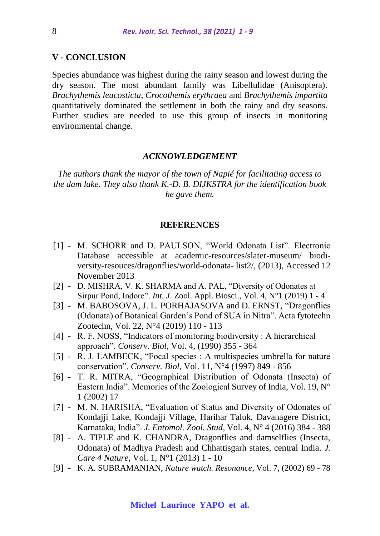## **V - CONCLUSION**

Species abundance was highest during the rainy season and lowest during the dry season. The most abundant family was Libellulidae (Anisoptera). *Brachythemis leucosticta*, *Crocothemis erythraea* and *Brachythemis impartita* quantitatively dominated the settlement in both the rainy and dry seasons. Further studies are needed to use this group of insects in monitoring environmental change.

#### *ACKNOWLEDGEMENT*

*The authors thank the mayor of the town of Napié for facilitating access to the dam lake. They also thank K.-D. B. DIJKSTRA for the identification book he gave them.*

#### **REFERENCES**

- [1] M. SCHORR and D. PAULSON, "World Odonata List". Electronic Database accessible at academic-resources/slater-museum/ biodiversity-resouces/dragonflies/world-odonata- list2/, (2013), Accessed 12 November 2013
- [2] D. MISHRA, V. K. SHARMA and A. PAL, "Diversity of Odonates at Sirpur Pond, Indore". *Int. J*. Zool. Appl. Biosci., Vol. 4, N°1 (2019) 1 - 4
- [3] M. BABOSOVA, J. L. PORHAJASOVA and D. ERNST, "Dragonflies" (Odonata) of Botanical Garden's Pond of SUA in Nitra". Acta fytotechn Zootechn, Vol. 22, N°4 (2019) 110 - 113
- [4] R. F. NOSS, "Indicators of monitoring biodiversity : A hierarchical approach". *Conserv. Biol*, Vol. 4, (1990) 355 - 364
- [5] R. J. LAMBECK, "Focal species : A multispecies umbrella for nature conservation". *Conserv. Biol*, Vol. 11, N°4 (1997) 849 - 856
- [6] T. R. MITRA, "Geographical Distribution of Odonata (Insecta) of Eastern India". Memories of the Zoological Survey of India, Vol. 19, N° 1 (2002) 17
- [7] M. N. HARISHA, "Evaluation of Status and Diversity of Odonates of Kondajji Lake, Kondajji Village, Harihar Taluk, Davanagere District, Karnataka, India". *J. Entomol. Zool. Stud*, Vol. 4, N° 4 (2016) 384 - 388
- [8] A. TIPLE and K. CHANDRA, Dragonflies and damselflies (Insecta, Odonata) of Madhya Pradesh and Chhattisgarh states, central India. *J. Care 4 Nature*, Vol. 1, N°1 (2013) 1 - 10
- [9] K. A. SUBRAMANIAN, *Nature watch. Resonance*, Vol. 7, (2002) 69 78